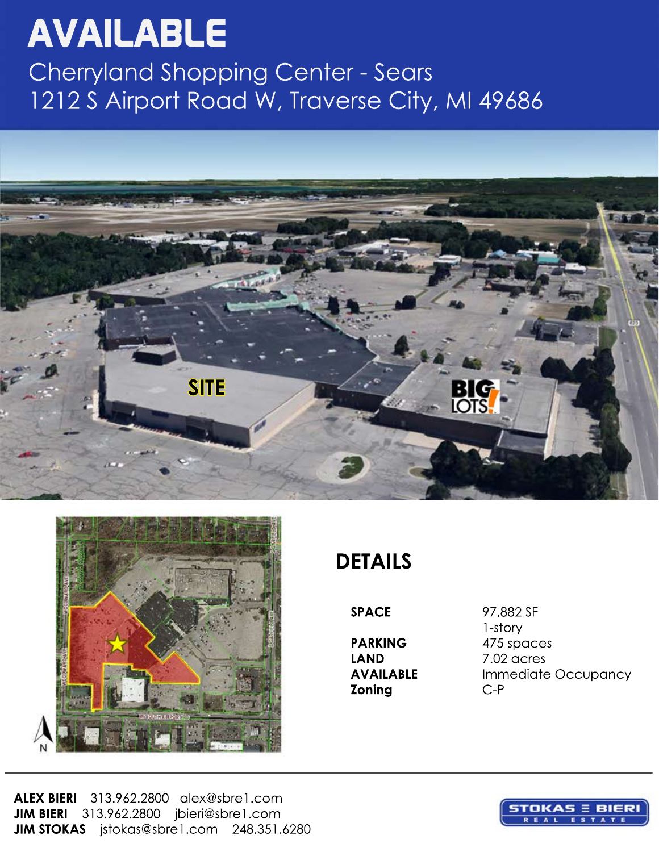# **AVAILABLE**

Cherryland Shopping Center - Sears 1212 S Airport Road W, Traverse City, MI 49686





**DETAILS**

**LAND** 7.02 acres<br>**AVAILABLE** Immediate **Zoning** C-P

**SPACE** 97,882 SF 1-story **PARKING** 475 spaces **Immediate Occupancy** 

**ALEX BIERI** 313.962.2800 alex@sbre1.com **JIM BIERI** 313.962.2800 jbieri@sbre1.com **JIM STOKAS** jstokas@sbre1.com 248.351.6280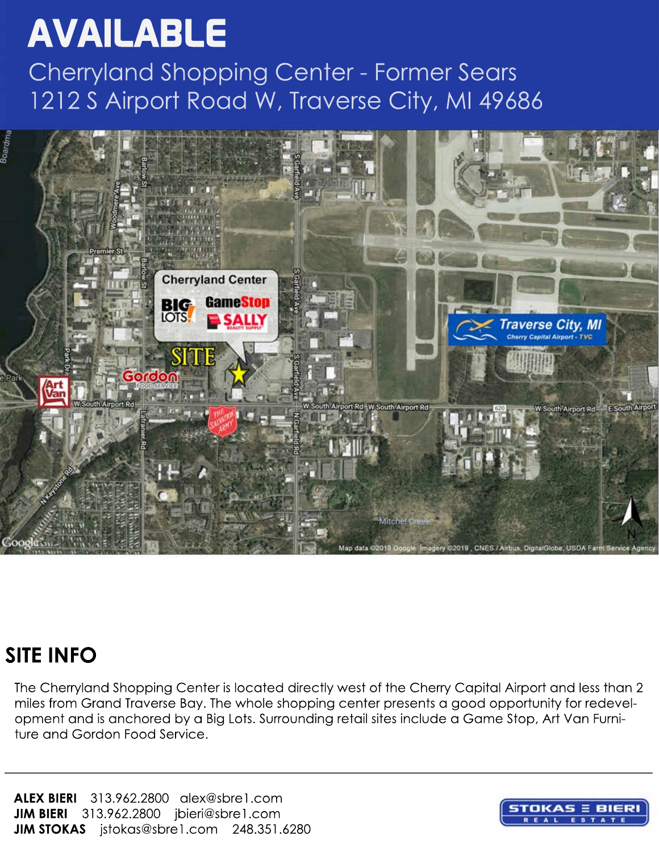#### **AVAILABLE**

Cherryland Shopping Center - Former Sears 1212 S Airport Road W, Traverse City, MI 49686



#### **SITE INFO**

The Cherryland Shopping Center is located directly west of the Cherry Capital Airport and less than 2 miles from Grand Traverse Bay. The whole shopping center presents a good opportunity for redevelopment and is anchored by a Big Lots. Surrounding retail sites include a Game Stop, Art Van Furniture and Gordon Food Service.

**ALEX BIERI** 313.962.2800 alex@sbre1.com **JIM BIERI** 313.962.2800 jbieri@sbre1.com **JIM STOKAS** jstokas@sbre1.com 248.351.6280

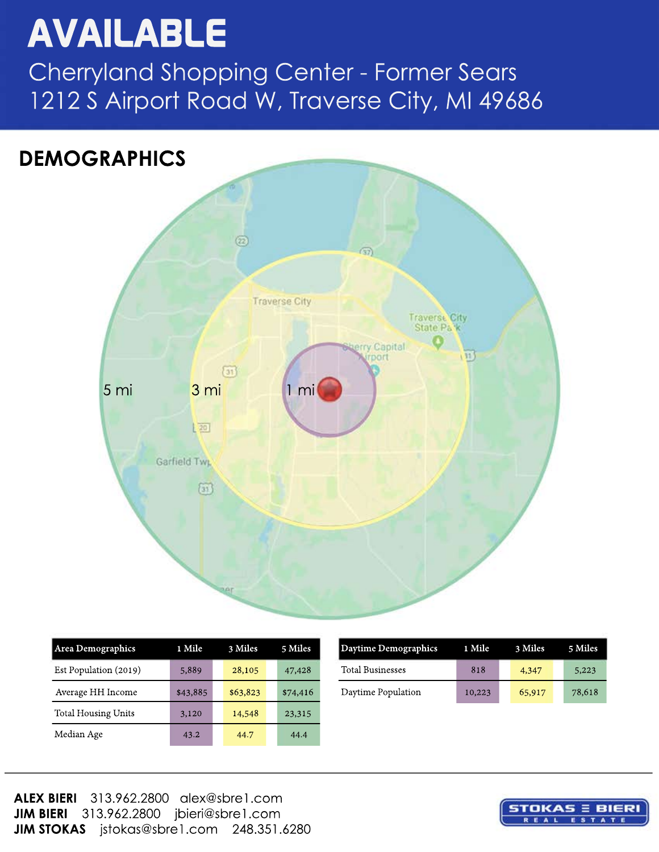## available

Cherryland Shopping Center - Former Sears 1212 S Airport Road W, Traverse City, MI 49686



| Area Demographics          | 1 Mile   | 3 Miles  | 5 Miles  |
|----------------------------|----------|----------|----------|
| Est Population (2019)      | 5,889    | 28,105   | 47,428   |
| Average HH Income          | \$43,885 | \$63,823 | \$74,416 |
| <b>Total Housing Units</b> | 3,120    | 14,548   | 23,315   |
| Median Age                 | 43.2     | 44.7     | 44.4     |

| Area Demographics     | 1 Mile   | 3 Miles  | 5 Miles  | Daytime Demographics    | 1 Mile | 3 Miles |  |
|-----------------------|----------|----------|----------|-------------------------|--------|---------|--|
| Est Population (2019) | 5,889    | 28,105   | 47,428   | <b>Total Businesses</b> | 818    | 4,347   |  |
| Average HH Income     | \$43,885 | \$63,823 | \$74,416 | Daytime Population      | 10,223 | 65,917  |  |

**ALEX BIERI** 313.962.2800 alex@sbre1.com **JIM BIERI** 313.962.2800 jbieri@sbre1.com **JIM STOKAS** jstokas@sbre1.com 248.351.6280